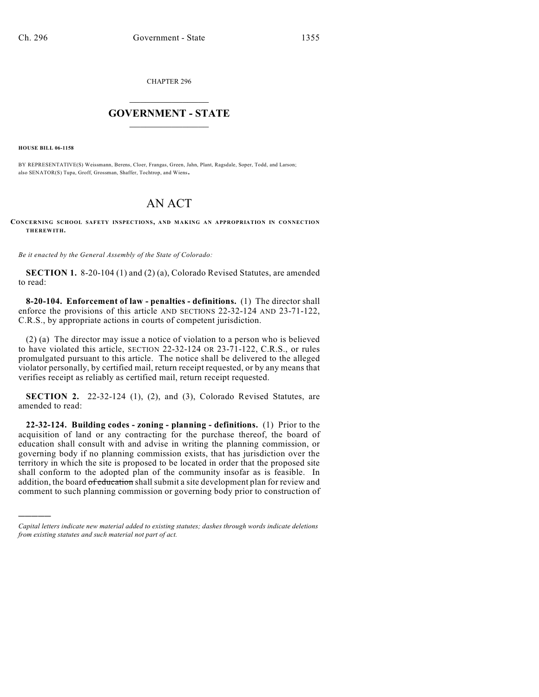CHAPTER 296

## $\mathcal{L}_\text{max}$  . The set of the set of the set of the set of the set of the set of the set of the set of the set of the set of the set of the set of the set of the set of the set of the set of the set of the set of the set **GOVERNMENT - STATE**  $\_$   $\_$   $\_$   $\_$   $\_$   $\_$   $\_$   $\_$

**HOUSE BILL 06-1158**

)))))

BY REPRESENTATIVE(S) Weissmann, Berens, Cloer, Frangas, Green, Jahn, Plant, Ragsdale, Soper, Todd, and Larson; also SENATOR(S) Tupa, Groff, Grossman, Shaffer, Tochtrop, and Wiens.

## AN ACT

**CONCERNING SCHOOL SAFETY INSPECTIONS, AND MAKING AN APPROPRIATION IN CONNECTION THEREWITH.**

*Be it enacted by the General Assembly of the State of Colorado:*

**SECTION 1.** 8-20-104 (1) and (2) (a), Colorado Revised Statutes, are amended to read:

**8-20-104. Enforcement of law - penalties - definitions.** (1) The director shall enforce the provisions of this article AND SECTIONS 22-32-124 AND 23-71-122, C.R.S., by appropriate actions in courts of competent jurisdiction.

(2) (a) The director may issue a notice of violation to a person who is believed to have violated this article, SECTION 22-32-124 OR 23-71-122, C.R.S., or rules promulgated pursuant to this article. The notice shall be delivered to the alleged violator personally, by certified mail, return receipt requested, or by any means that verifies receipt as reliably as certified mail, return receipt requested.

**SECTION 2.** 22-32-124 (1), (2), and (3), Colorado Revised Statutes, are amended to read:

**22-32-124. Building codes - zoning - planning - definitions.** (1) Prior to the acquisition of land or any contracting for the purchase thereof, the board of education shall consult with and advise in writing the planning commission, or governing body if no planning commission exists, that has jurisdiction over the territory in which the site is proposed to be located in order that the proposed site shall conform to the adopted plan of the community insofar as is feasible. In addition, the board of education shall submit a site development plan for review and comment to such planning commission or governing body prior to construction of

*Capital letters indicate new material added to existing statutes; dashes through words indicate deletions from existing statutes and such material not part of act.*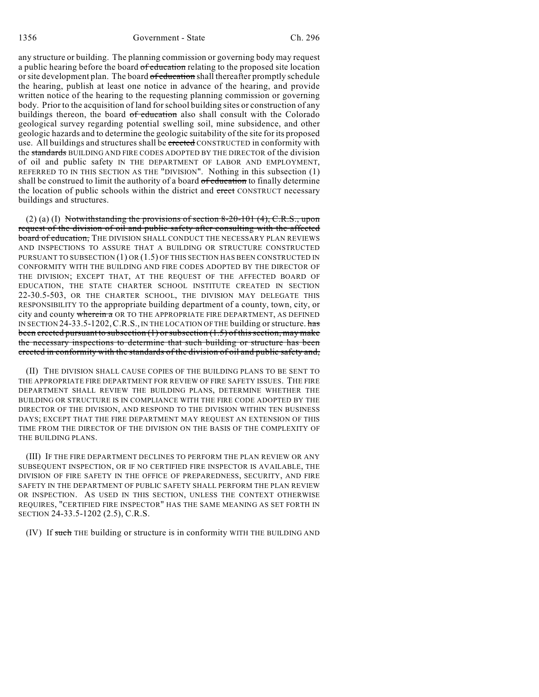any structure or building. The planning commission or governing body may request a public hearing before the board of education relating to the proposed site location or site development plan. The board of education shall thereafter promptly schedule the hearing, publish at least one notice in advance of the hearing, and provide written notice of the hearing to the requesting planning commission or governing body. Prior to the acquisition of land for school building sites or construction of any buildings thereon, the board of education also shall consult with the Colorado geological survey regarding potential swelling soil, mine subsidence, and other geologic hazards and to determine the geologic suitability of the site for its proposed use. All buildings and structures shall be erected CONSTRUCTED in conformity with the standards BUILDING AND FIRE CODES ADOPTED BY THE DIRECTOR of the division of oil and public safety IN THE DEPARTMENT OF LABOR AND EMPLOYMENT, REFERRED TO IN THIS SECTION AS THE "DIVISION". Nothing in this subsection (1) shall be construed to limit the authority of a board of education to finally determine the location of public schools within the district and erect CONSTRUCT necessary buildings and structures.

(2) (a) (I) Notwithstanding the provisions of section 8-20-101 (4),  $C.R.S.,$  upon request of the division of oil and public safety after consulting with the affected board of education, THE DIVISION SHALL CONDUCT THE NECESSARY PLAN REVIEWS AND INSPECTIONS TO ASSURE THAT A BUILDING OR STRUCTURE CONSTRUCTED PURSUANT TO SUBSECTION (1) OR (1.5) OF THIS SECTION HAS BEEN CONSTRUCTED IN CONFORMITY WITH THE BUILDING AND FIRE CODES ADOPTED BY THE DIRECTOR OF THE DIVISION; EXCEPT THAT, AT THE REQUEST OF THE AFFECTED BOARD OF EDUCATION, THE STATE CHARTER SCHOOL INSTITUTE CREATED IN SECTION 22-30.5-503, OR THE CHARTER SCHOOL, THE DIVISION MAY DELEGATE THIS RESPONSIBILITY TO the appropriate building department of a county, town, city, or city and county wherein a OR TO THE APPROPRIATE FIRE DEPARTMENT, AS DEFINED IN SECTION 24-33.5-1202, C.R.S., IN THE LOCATION OF THE building or structure. has been erected pursuant to subsection (1) or subsection (1.5) of this section, may make the necessary inspections to determine that such building or structure has been erected in conformity with the standards of the division of oil and public safety and,

(II) THE DIVISION SHALL CAUSE COPIES OF THE BUILDING PLANS TO BE SENT TO THE APPROPRIATE FIRE DEPARTMENT FOR REVIEW OF FIRE SAFETY ISSUES. THE FIRE DEPARTMENT SHALL REVIEW THE BUILDING PLANS, DETERMINE WHETHER THE BUILDING OR STRUCTURE IS IN COMPLIANCE WITH THE FIRE CODE ADOPTED BY THE DIRECTOR OF THE DIVISION, AND RESPOND TO THE DIVISION WITHIN TEN BUSINESS DAYS; EXCEPT THAT THE FIRE DEPARTMENT MAY REQUEST AN EXTENSION OF THIS TIME FROM THE DIRECTOR OF THE DIVISION ON THE BASIS OF THE COMPLEXITY OF THE BUILDING PLANS.

(III) IF THE FIRE DEPARTMENT DECLINES TO PERFORM THE PLAN REVIEW OR ANY SUBSEQUENT INSPECTION, OR IF NO CERTIFIED FIRE INSPECTOR IS AVAILABLE, THE DIVISION OF FIRE SAFETY IN THE OFFICE OF PREPAREDNESS, SECURITY, AND FIRE SAFETY IN THE DEPARTMENT OF PUBLIC SAFETY SHALL PERFORM THE PLAN REVIEW OR INSPECTION. AS USED IN THIS SECTION, UNLESS THE CONTEXT OTHERWISE REQUIRES, "CERTIFIED FIRE INSPECTOR" HAS THE SAME MEANING AS SET FORTH IN SECTION 24-33.5-1202 (2.5), C.R.S.

(IV) If such THE building or structure is in conformity WITH THE BUILDING AND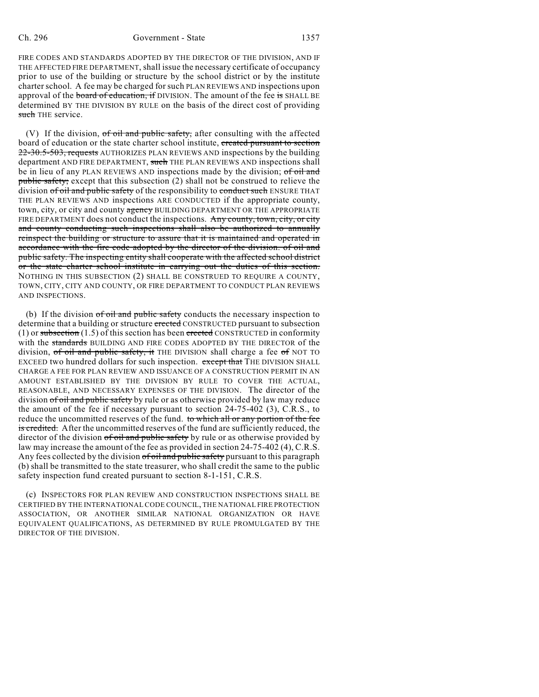FIRE CODES AND STANDARDS ADOPTED BY THE DIRECTOR OF THE DIVISION, AND IF THE AFFECTED FIRE DEPARTMENT, shall issue the necessary certificate of occupancy prior to use of the building or structure by the school district or by the institute charter school. A fee may be charged for such PLAN REVIEWS AND inspections upon approval of the board of education, if DIVISION. The amount of the fee is SHALL BE determined BY THE DIVISION BY RULE on the basis of the direct cost of providing such THE service.

(V) If the division,  $of$  oil and public safety, after consulting with the affected board of education or the state charter school institute, created pursuant to section 22-30.5-503, requests AUTHORIZES PLAN REVIEWS AND inspections by the building department AND FIRE DEPARTMENT, such THE PLAN REVIEWS AND inspections shall be in lieu of any PLAN REVIEWS AND inspections made by the division; of oil and public safety; except that this subsection (2) shall not be construed to relieve the division of oil and public safety of the responsibility to conduct such ENSURE THAT THE PLAN REVIEWS AND inspections ARE CONDUCTED if the appropriate county, town, city, or city and county agency BUILDING DEPARTMENT OR THE APPROPRIATE FIRE DEPARTMENT does not conduct the inspections. Any county, town, city, or city and county conducting such inspections shall also be authorized to annually reinspect the building or structure to assure that it is maintained and operated in accordance with the fire code adopted by the director of the division. of oil and public safety. The inspecting entity shall cooperate with the affected school district or the state charter school institute in carrying out the duties of this section. NOTHING IN THIS SUBSECTION (2) SHALL BE CONSTRUED TO REQUIRE A COUNTY, TOWN, CITY, CITY AND COUNTY, OR FIRE DEPARTMENT TO CONDUCT PLAN REVIEWS AND INSPECTIONS.

(b) If the division  $of$  oil and public safety conducts the necessary inspection to determine that a building or structure erected CONSTRUCTED pursuant to subsection (1) or subsection (1.5) of this section has been erected CONSTRUCTED in conformity with the standards BUILDING AND FIRE CODES ADOPTED BY THE DIRECTOR of the division, of oil and public safety, it THE DIVISION shall charge a fee of NOT TO EXCEED two hundred dollars for such inspection. except that THE DIVISION SHALL CHARGE A FEE FOR PLAN REVIEW AND ISSUANCE OF A CONSTRUCTION PERMIT IN AN AMOUNT ESTABLISHED BY THE DIVISION BY RULE TO COVER THE ACTUAL, REASONABLE, AND NECESSARY EXPENSES OF THE DIVISION. The director of the division of oil and public safety by rule or as otherwise provided by law may reduce the amount of the fee if necessary pursuant to section 24-75-402 (3), C.R.S., to reduce the uncommitted reserves of the fund. to which all or any portion of the fee is credited. After the uncommitted reserves of the fund are sufficiently reduced, the director of the division of oil and public safety by rule or as otherwise provided by law may increase the amount of the fee as provided in section 24-75-402 (4), C.R.S. Any fees collected by the division of oil and public safety pursuant to this paragraph (b) shall be transmitted to the state treasurer, who shall credit the same to the public safety inspection fund created pursuant to section 8-1-151, C.R.S.

(c) INSPECTORS FOR PLAN REVIEW AND CONSTRUCTION INSPECTIONS SHALL BE CERTIFIED BY THE INTERNATIONAL CODE COUNCIL, THE NATIONAL FIRE PROTECTION ASSOCIATION, OR ANOTHER SIMILAR NATIONAL ORGANIZATION OR HAVE EQUIVALENT QUALIFICATIONS, AS DETERMINED BY RULE PROMULGATED BY THE DIRECTOR OF THE DIVISION.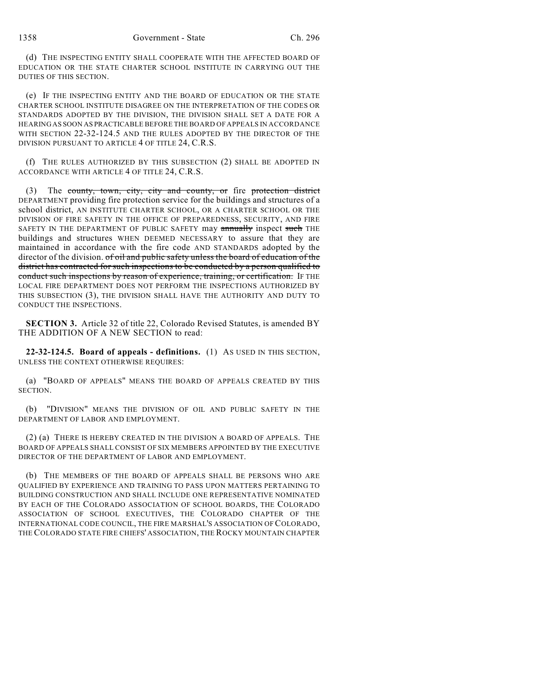(d) THE INSPECTING ENTITY SHALL COOPERATE WITH THE AFFECTED BOARD OF EDUCATION OR THE STATE CHARTER SCHOOL INSTITUTE IN CARRYING OUT THE DUTIES OF THIS SECTION.

(e) IF THE INSPECTING ENTITY AND THE BOARD OF EDUCATION OR THE STATE CHARTER SCHOOL INSTITUTE DISAGREE ON THE INTERPRETATION OF THE CODES OR STANDARDS ADOPTED BY THE DIVISION, THE DIVISION SHALL SET A DATE FOR A HEARING AS SOON AS PRACTICABLE BEFORE THE BOARD OF APPEALS IN ACCORDANCE WITH SECTION 22-32-124.5 AND THE RULES ADOPTED BY THE DIRECTOR OF THE DIVISION PURSUANT TO ARTICLE 4 OF TITLE 24, C.R.S.

(f) THE RULES AUTHORIZED BY THIS SUBSECTION (2) SHALL BE ADOPTED IN ACCORDANCE WITH ARTICLE 4 OF TITLE 24, C.R.S.

(3) The county, town, city, city and county, or fire protection district DEPARTMENT providing fire protection service for the buildings and structures of a school district, AN INSTITUTE CHARTER SCHOOL, OR A CHARTER SCHOOL OR THE DIVISION OF FIRE SAFETY IN THE OFFICE OF PREPAREDNESS, SECURITY, AND FIRE SAFETY IN THE DEPARTMENT OF PUBLIC SAFETY may annually inspect such THE buildings and structures WHEN DEEMED NECESSARY to assure that they are maintained in accordance with the fire code AND STANDARDS adopted by the director of the division. of oil and public safety unless the board of education of the district has contracted for such inspections to be conducted by a person qualified to conduct such inspections by reason of experience, training, or certification. IF THE LOCAL FIRE DEPARTMENT DOES NOT PERFORM THE INSPECTIONS AUTHORIZED BY THIS SUBSECTION (3), THE DIVISION SHALL HAVE THE AUTHORITY AND DUTY TO CONDUCT THE INSPECTIONS.

**SECTION 3.** Article 32 of title 22, Colorado Revised Statutes, is amended BY THE ADDITION OF A NEW SECTION to read:

**22-32-124.5. Board of appeals - definitions.** (1) AS USED IN THIS SECTION, UNLESS THE CONTEXT OTHERWISE REQUIRES:

(a) "BOARD OF APPEALS" MEANS THE BOARD OF APPEALS CREATED BY THIS SECTION.

(b) "DIVISION" MEANS THE DIVISION OF OIL AND PUBLIC SAFETY IN THE DEPARTMENT OF LABOR AND EMPLOYMENT.

(2) (a) THERE IS HEREBY CREATED IN THE DIVISION A BOARD OF APPEALS. THE BOARD OF APPEALS SHALL CONSIST OF SIX MEMBERS APPOINTED BY THE EXECUTIVE DIRECTOR OF THE DEPARTMENT OF LABOR AND EMPLOYMENT.

(b) THE MEMBERS OF THE BOARD OF APPEALS SHALL BE PERSONS WHO ARE QUALIFIED BY EXPERIENCE AND TRAINING TO PASS UPON MATTERS PERTAINING TO BUILDING CONSTRUCTION AND SHALL INCLUDE ONE REPRESENTATIVE NOMINATED BY EACH OF THE COLORADO ASSOCIATION OF SCHOOL BOARDS, THE COLORADO ASSOCIATION OF SCHOOL EXECUTIVES, THE COLORADO CHAPTER OF THE INTERNATIONAL CODE COUNCIL, THE FIRE MARSHAL'S ASSOCIATION OF COLORADO, THE COLORADO STATE FIRE CHIEFS' ASSOCIATION, THE ROCKY MOUNTAIN CHAPTER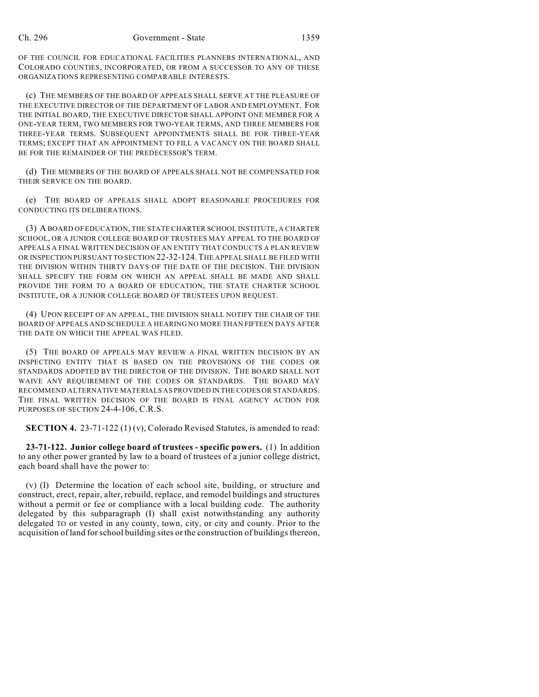OF THE COUNCIL FOR EDUCATIONAL FACILITIES PLANNERS INTERNATIONAL, AND COLORADO COUNTIES, INCORPORATED, OR FROM A SUCCESSOR TO ANY OF THESE ORGANIZATIONS REPRESENTING COMPARABLE INTERESTS.

(c) THE MEMBERS OF THE BOARD OF APPEALS SHALL SERVE AT THE PLEASURE OF THE EXECUTIVE DIRECTOR OF THE DEPARTMENT OF LABOR AND EMPLOYMENT. FOR THE INITIAL BOARD, THE EXECUTIVE DIRECTOR SHALL APPOINT ONE MEMBER FOR A ONE-YEAR TERM, TWO MEMBERS FOR TWO-YEAR TERMS, AND THREE MEMBERS FOR THREE-YEAR TERMS. SUBSEQUENT APPOINTMENTS SHALL BE FOR THREE-YEAR TERMS; EXCEPT THAT AN APPOINTMENT TO FILL A VACANCY ON THE BOARD SHALL BE FOR THE REMAINDER OF THE PREDECESSOR'S TERM.

(d) THE MEMBERS OF THE BOARD OF APPEALS SHALL NOT BE COMPENSATED FOR THEIR SERVICE ON THE BOARD.

(e) THE BOARD OF APPEALS SHALL ADOPT REASONABLE PROCEDURES FOR CONDUCTING ITS DELIBERATIONS.

(3) A BOARD OF EDUCATION, THE STATE CHARTER SCHOOL INSTITUTE, A CHARTER SCHOOL, OR A JUNIOR COLLEGE BOARD OF TRUSTEES MAY APPEAL TO THE BOARD OF APPEALS A FINAL WRITTEN DECISION OF AN ENTITY THAT CONDUCTS A PLAN REVIEW OR INSPECTION PURSUANT TO SECTION 22-32-124.THE APPEAL SHALL BE FILED WITH THE DIVISION WITHIN THIRTY DAYS OF THE DATE OF THE DECISION. THE DIVISION SHALL SPECIFY THE FORM ON WHICH AN APPEAL SHALL BE MADE AND SHALL PROVIDE THE FORM TO A BOARD OF EDUCATION, THE STATE CHARTER SCHOOL INSTITUTE, OR A JUNIOR COLLEGE BOARD OF TRUSTEES UPON REQUEST.

(4) UPON RECEIPT OF AN APPEAL, THE DIVISION SHALL NOTIFY THE CHAIR OF THE BOARD OF APPEALS AND SCHEDULE A HEARING NO MORE THAN FIFTEEN DAYS AFTER THE DATE ON WHICH THE APPEAL WAS FILED.

(5) THE BOARD OF APPEALS MAY REVIEW A FINAL WRITTEN DECISION BY AN INSPECTING ENTITY THAT IS BASED ON THE PROVISIONS OF THE CODES OR STANDARDS ADOPTED BY THE DIRECTOR OF THE DIVISION. THE BOARD SHALL NOT WAIVE ANY REQUIREMENT OF THE CODES OR STANDARDS. THE BOARD MAY RECOMMEND ALTERNATIVE MATERIALS AS PROVIDED IN THE CODES OR STANDARDS. THE FINAL WRITTEN DECISION OF THE BOARD IS FINAL AGENCY ACTION FOR PURPOSES OF SECTION 24-4-106, C.R.S.

**SECTION 4.** 23-71-122 (1) (v), Colorado Revised Statutes, is amended to read:

**23-71-122. Junior college board of trustees - specific powers.** (1) In addition to any other power granted by law to a board of trustees of a junior college district, each board shall have the power to:

(v) (I) Determine the location of each school site, building, or structure and construct, erect, repair, alter, rebuild, replace, and remodel buildings and structures without a permit or fee or compliance with a local building code. The authority delegated by this subparagraph (I) shall exist notwithstanding any authority delegated TO or vested in any county, town, city, or city and county. Prior to the acquisition of land forschool building sites or the construction of buildings thereon,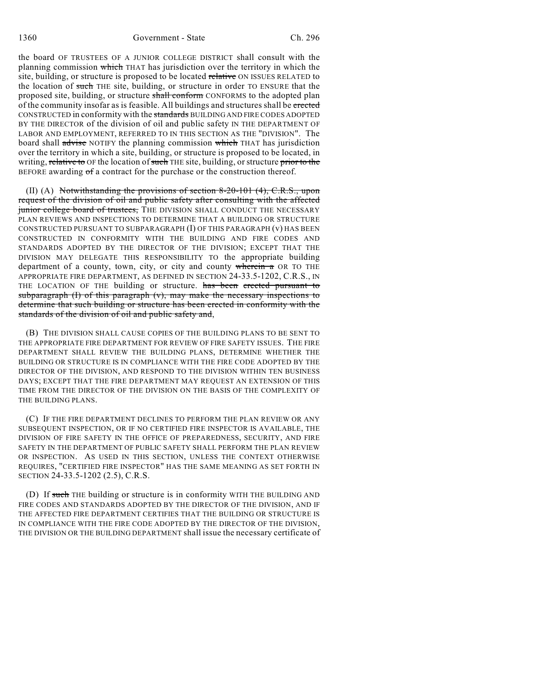the board OF TRUSTEES OF A JUNIOR COLLEGE DISTRICT shall consult with the planning commission which THAT has jurisdiction over the territory in which the site, building, or structure is proposed to be located relative ON ISSUES RELATED to the location of such THE site, building, or structure in order TO ENSURE that the proposed site, building, or structure shall conform CONFORMS to the adopted plan of the community insofar as is feasible. All buildings and structures shall be erected CONSTRUCTED in conformity with the standards BUILDING AND FIRE CODES ADOPTED BY THE DIRECTOR of the division of oil and public safety IN THE DEPARTMENT OF LABOR AND EMPLOYMENT, REFERRED TO IN THIS SECTION AS THE "DIVISION". The board shall advise NOTIFY the planning commission which THAT has jurisdiction over the territory in which a site, building, or structure is proposed to be located, in writing, relative to OF the location of such THE site, building, or structure prior to the BEFORE awarding  $\sigma f$  a contract for the purchase or the construction thereof.

(II) (A) Notwithstanding the provisions of section 8-20-101 (4), C.R.S., upon request of the division of oil and public safety after consulting with the affected junior college board of trustees, THE DIVISION SHALL CONDUCT THE NECESSARY PLAN REVIEWS AND INSPECTIONS TO DETERMINE THAT A BUILDING OR STRUCTURE CONSTRUCTED PURSUANT TO SUBPARAGRAPH (I) OF THIS PARAGRAPH (v) HAS BEEN CONSTRUCTED IN CONFORMITY WITH THE BUILDING AND FIRE CODES AND STANDARDS ADOPTED BY THE DIRECTOR OF THE DIVISION; EXCEPT THAT THE DIVISION MAY DELEGATE THIS RESPONSIBILITY TO the appropriate building department of a county, town, city, or city and county wherein a OR TO THE APPROPRIATE FIRE DEPARTMENT, AS DEFINED IN SECTION 24-33.5-1202, C.R.S., IN THE LOCATION OF THE building or structure. has been erected pursuant to subparagraph  $(I)$  of this paragraph  $(v)$ , may make the necessary inspections to determine that such building or structure has been erected in conformity with the standards of the division of oil and public safety and,

(B) THE DIVISION SHALL CAUSE COPIES OF THE BUILDING PLANS TO BE SENT TO THE APPROPRIATE FIRE DEPARTMENT FOR REVIEW OF FIRE SAFETY ISSUES. THE FIRE DEPARTMENT SHALL REVIEW THE BUILDING PLANS, DETERMINE WHETHER THE BUILDING OR STRUCTURE IS IN COMPLIANCE WITH THE FIRE CODE ADOPTED BY THE DIRECTOR OF THE DIVISION, AND RESPOND TO THE DIVISION WITHIN TEN BUSINESS DAYS; EXCEPT THAT THE FIRE DEPARTMENT MAY REQUEST AN EXTENSION OF THIS TIME FROM THE DIRECTOR OF THE DIVISION ON THE BASIS OF THE COMPLEXITY OF THE BUILDING PLANS.

(C) IF THE FIRE DEPARTMENT DECLINES TO PERFORM THE PLAN REVIEW OR ANY SUBSEQUENT INSPECTION, OR IF NO CERTIFIED FIRE INSPECTOR IS AVAILABLE, THE DIVISION OF FIRE SAFETY IN THE OFFICE OF PREPAREDNESS, SECURITY, AND FIRE SAFETY IN THE DEPARTMENT OF PUBLIC SAFETY SHALL PERFORM THE PLAN REVIEW OR INSPECTION. AS USED IN THIS SECTION, UNLESS THE CONTEXT OTHERWISE REQUIRES, "CERTIFIED FIRE INSPECTOR" HAS THE SAME MEANING AS SET FORTH IN SECTION 24-33.5-1202 (2.5), C.R.S.

(D) If such THE building or structure is in conformity WITH THE BUILDING AND FIRE CODES AND STANDARDS ADOPTED BY THE DIRECTOR OF THE DIVISION, AND IF THE AFFECTED FIRE DEPARTMENT CERTIFIES THAT THE BUILDING OR STRUCTURE IS IN COMPLIANCE WITH THE FIRE CODE ADOPTED BY THE DIRECTOR OF THE DIVISION, THE DIVISION OR THE BUILDING DEPARTMENT shall issue the necessary certificate of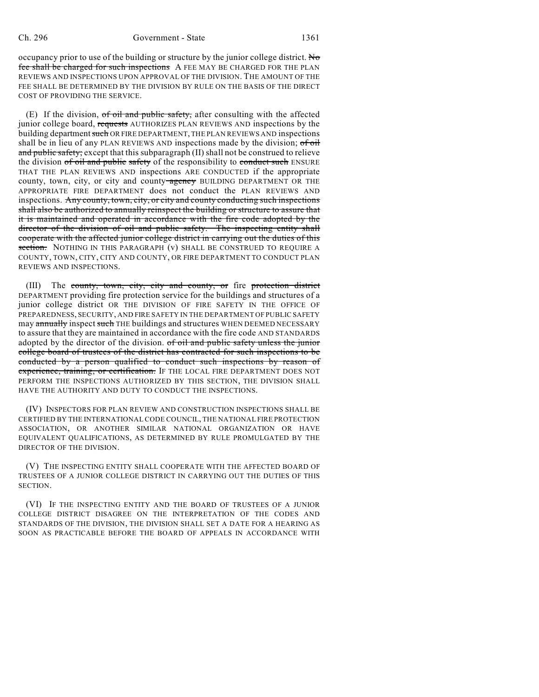occupancy prior to use of the building or structure by the junior college district. No fee shall be charged for such inspections A FEE MAY BE CHARGED FOR THE PLAN REVIEWS AND INSPECTIONS UPON APPROVAL OF THE DIVISION. THE AMOUNT OF THE FEE SHALL BE DETERMINED BY THE DIVISION BY RULE ON THE BASIS OF THE DIRECT COST OF PROVIDING THE SERVICE.

 $(E)$  If the division, of oil and public safety, after consulting with the affected junior college board, requests AUTHORIZES PLAN REVIEWS AND inspections by the building department such OR FIRE DEPARTMENT, THE PLAN REVIEWS AND inspections shall be in lieu of any PLAN REVIEWS AND inspections made by the division;  $of\,$ oil and public safety; except that this subparagraph (II) shall not be construed to relieve the division of oil and public safety of the responsibility to conduct such ENSURE THAT THE PLAN REVIEWS AND inspections ARE CONDUCTED if the appropriate county, town, city, or city and county-agency BUILDING DEPARTMENT OR THE APPROPRIATE FIRE DEPARTMENT does not conduct the PLAN REVIEWS AND inspections. Any county, town, city, or city and county conducting such inspections shall also be authorized to annually reinspect the building or structure to assure that it is maintained and operated in accordance with the fire code adopted by the director of the division of oil and public safety. The inspecting entity shall cooperate with the affected junior college district in carrying out the duties of this section. NOTHING IN THIS PARAGRAPH (v) SHALL BE CONSTRUED TO REQUIRE A COUNTY, TOWN, CITY, CITY AND COUNTY, OR FIRE DEPARTMENT TO CONDUCT PLAN REVIEWS AND INSPECTIONS.

(III) The county, town, city, city and county, or fire protection district DEPARTMENT providing fire protection service for the buildings and structures of a junior college district OR THE DIVISION OF FIRE SAFETY IN THE OFFICE OF PREPAREDNESS, SECURITY, AND FIRE SAFETY IN THE DEPARTMENT OF PUBLIC SAFETY may annually inspect such THE buildings and structures WHEN DEEMED NECESSARY to assure that they are maintained in accordance with the fire code AND STANDARDS adopted by the director of the division. of oil and public safety unless the junior college board of trustees of the district has contracted for such inspections to be conducted by a person qualified to conduct such inspections by reason of experience, training, or certification. If THE LOCAL FIRE DEPARTMENT DOES NOT PERFORM THE INSPECTIONS AUTHORIZED BY THIS SECTION, THE DIVISION SHALL HAVE THE AUTHORITY AND DUTY TO CONDUCT THE INSPECTIONS.

(IV) INSPECTORS FOR PLAN REVIEW AND CONSTRUCTION INSPECTIONS SHALL BE CERTIFIED BY THE INTERNATIONAL CODE COUNCIL, THE NATIONAL FIRE PROTECTION ASSOCIATION, OR ANOTHER SIMILAR NATIONAL ORGANIZATION OR HAVE EQUIVALENT QUALIFICATIONS, AS DETERMINED BY RULE PROMULGATED BY THE DIRECTOR OF THE DIVISION.

(V) THE INSPECTING ENTITY SHALL COOPERATE WITH THE AFFECTED BOARD OF TRUSTEES OF A JUNIOR COLLEGE DISTRICT IN CARRYING OUT THE DUTIES OF THIS SECTION.

(VI) IF THE INSPECTING ENTITY AND THE BOARD OF TRUSTEES OF A JUNIOR COLLEGE DISTRICT DISAGREE ON THE INTERPRETATION OF THE CODES AND STANDARDS OF THE DIVISION, THE DIVISION SHALL SET A DATE FOR A HEARING AS SOON AS PRACTICABLE BEFORE THE BOARD OF APPEALS IN ACCORDANCE WITH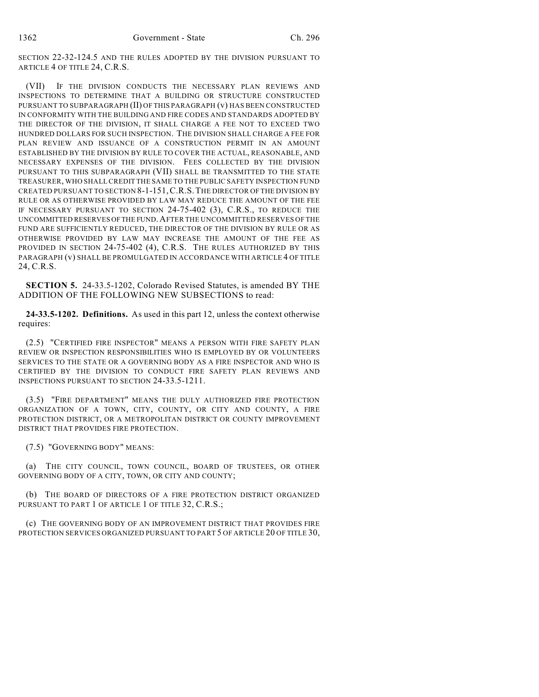SECTION 22-32-124.5 AND THE RULES ADOPTED BY THE DIVISION PURSUANT TO ARTICLE 4 OF TITLE 24, C.R.S.

(VII) IF THE DIVISION CONDUCTS THE NECESSARY PLAN REVIEWS AND INSPECTIONS TO DETERMINE THAT A BUILDING OR STRUCTURE CONSTRUCTED PURSUANT TO SUBPARAGRAPH (II) OF THIS PARAGRAPH (v) HAS BEEN CONSTRUCTED IN CONFORMITY WITH THE BUILDING AND FIRE CODES AND STANDARDS ADOPTED BY THE DIRECTOR OF THE DIVISION, IT SHALL CHARGE A FEE NOT TO EXCEED TWO HUNDRED DOLLARS FOR SUCH INSPECTION. THE DIVISION SHALL CHARGE A FEE FOR PLAN REVIEW AND ISSUANCE OF A CONSTRUCTION PERMIT IN AN AMOUNT ESTABLISHED BY THE DIVISION BY RULE TO COVER THE ACTUAL, REASONABLE, AND NECESSARY EXPENSES OF THE DIVISION. FEES COLLECTED BY THE DIVISION PURSUANT TO THIS SUBPARAGRAPH (VII) SHALL BE TRANSMITTED TO THE STATE TREASURER, WHO SHALL CREDIT THE SAME TO THE PUBLIC SAFETY INSPECTION FUND CREATED PURSUANT TO SECTION 8-1-151,C.R.S.THE DIRECTOR OF THE DIVISION BY RULE OR AS OTHERWISE PROVIDED BY LAW MAY REDUCE THE AMOUNT OF THE FEE IF NECESSARY PURSUANT TO SECTION 24-75-402 (3), C.R.S., TO REDUCE THE UNCOMMITTED RESERVES OF THE FUND.AFTER THE UNCOMMITTED RESERVES OF THE FUND ARE SUFFICIENTLY REDUCED, THE DIRECTOR OF THE DIVISION BY RULE OR AS OTHERWISE PROVIDED BY LAW MAY INCREASE THE AMOUNT OF THE FEE AS PROVIDED IN SECTION 24-75-402 (4), C.R.S. THE RULES AUTHORIZED BY THIS PARAGRAPH (v) SHALL BE PROMULGATED IN ACCORDANCE WITH ARTICLE 4 OF TITLE 24, C.R.S.

**SECTION 5.** 24-33.5-1202, Colorado Revised Statutes, is amended BY THE ADDITION OF THE FOLLOWING NEW SUBSECTIONS to read:

**24-33.5-1202. Definitions.** As used in this part 12, unless the context otherwise requires:

(2.5) "CERTIFIED FIRE INSPECTOR" MEANS A PERSON WITH FIRE SAFETY PLAN REVIEW OR INSPECTION RESPONSIBILITIES WHO IS EMPLOYED BY OR VOLUNTEERS SERVICES TO THE STATE OR A GOVERNING BODY AS A FIRE INSPECTOR AND WHO IS CERTIFIED BY THE DIVISION TO CONDUCT FIRE SAFETY PLAN REVIEWS AND INSPECTIONS PURSUANT TO SECTION 24-33.5-1211.

(3.5) "FIRE DEPARTMENT" MEANS THE DULY AUTHORIZED FIRE PROTECTION ORGANIZATION OF A TOWN, CITY, COUNTY, OR CITY AND COUNTY, A FIRE PROTECTION DISTRICT, OR A METROPOLITAN DISTRICT OR COUNTY IMPROVEMENT DISTRICT THAT PROVIDES FIRE PROTECTION.

(7.5) "GOVERNING BODY" MEANS:

(a) THE CITY COUNCIL, TOWN COUNCIL, BOARD OF TRUSTEES, OR OTHER GOVERNING BODY OF A CITY, TOWN, OR CITY AND COUNTY;

(b) THE BOARD OF DIRECTORS OF A FIRE PROTECTION DISTRICT ORGANIZED PURSUANT TO PART 1 OF ARTICLE 1 OF TITLE 32, C.R.S.;

(c) THE GOVERNING BODY OF AN IMPROVEMENT DISTRICT THAT PROVIDES FIRE PROTECTION SERVICES ORGANIZED PURSUANT TO PART 5 OF ARTICLE 20 OF TITLE 30,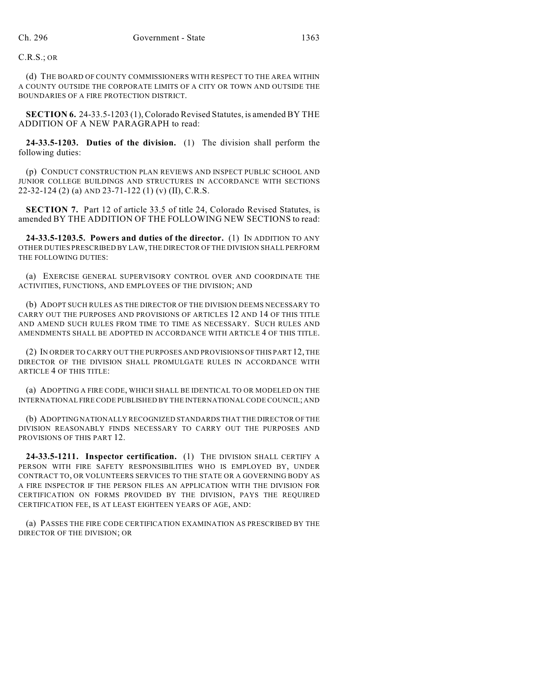C.R.S.; OR

(d) THE BOARD OF COUNTY COMMISSIONERS WITH RESPECT TO THE AREA WITHIN A COUNTY OUTSIDE THE CORPORATE LIMITS OF A CITY OR TOWN AND OUTSIDE THE BOUNDARIES OF A FIRE PROTECTION DISTRICT.

**SECTION 6.** 24-33.5-1203 (1), Colorado Revised Statutes, is amended BY THE ADDITION OF A NEW PARAGRAPH to read:

**24-33.5-1203. Duties of the division.** (1) The division shall perform the following duties:

(p) CONDUCT CONSTRUCTION PLAN REVIEWS AND INSPECT PUBLIC SCHOOL AND JUNIOR COLLEGE BUILDINGS AND STRUCTURES IN ACCORDANCE WITH SECTIONS 22-32-124 (2) (a) AND 23-71-122 (1) (v) (II), C.R.S.

**SECTION 7.** Part 12 of article 33.5 of title 24, Colorado Revised Statutes, is amended BY THE ADDITION OF THE FOLLOWING NEW SECTIONS to read:

**24-33.5-1203.5. Powers and duties of the director.** (1) IN ADDITION TO ANY OTHER DUTIES PRESCRIBED BY LAW, THE DIRECTOR OF THE DIVISION SHALL PERFORM THE FOLLOWING DUTIES:

(a) EXERCISE GENERAL SUPERVISORY CONTROL OVER AND COORDINATE THE ACTIVITIES, FUNCTIONS, AND EMPLOYEES OF THE DIVISION; AND

(b) ADOPT SUCH RULES AS THE DIRECTOR OF THE DIVISION DEEMS NECESSARY TO CARRY OUT THE PURPOSES AND PROVISIONS OF ARTICLES 12 AND 14 OF THIS TITLE AND AMEND SUCH RULES FROM TIME TO TIME AS NECESSARY. SUCH RULES AND AMENDMENTS SHALL BE ADOPTED IN ACCORDANCE WITH ARTICLE 4 OF THIS TITLE.

(2) IN ORDER TO CARRY OUT THE PURPOSES AND PROVISIONS OF THIS PART 12, THE DIRECTOR OF THE DIVISION SHALL PROMULGATE RULES IN ACCORDANCE WITH ARTICLE 4 OF THIS TITLE:

(a) ADOPTING A FIRE CODE, WHICH SHALL BE IDENTICAL TO OR MODELED ON THE INTERNATIONAL FIRE CODE PUBLISHED BY THE INTERNATIONAL CODE COUNCIL; AND

(b) ADOPTING NATIONALLY RECOGNIZED STANDARDS THAT THE DIRECTOR OF THE DIVISION REASONABLY FINDS NECESSARY TO CARRY OUT THE PURPOSES AND PROVISIONS OF THIS PART 12.

**24-33.5-1211. Inspector certification.** (1) THE DIVISION SHALL CERTIFY A PERSON WITH FIRE SAFETY RESPONSIBILITIES WHO IS EMPLOYED BY, UNDER CONTRACT TO, OR VOLUNTEERS SERVICES TO THE STATE OR A GOVERNING BODY AS A FIRE INSPECTOR IF THE PERSON FILES AN APPLICATION WITH THE DIVISION FOR CERTIFICATION ON FORMS PROVIDED BY THE DIVISION, PAYS THE REQUIRED CERTIFICATION FEE, IS AT LEAST EIGHTEEN YEARS OF AGE, AND:

(a) PASSES THE FIRE CODE CERTIFICATION EXAMINATION AS PRESCRIBED BY THE DIRECTOR OF THE DIVISION; OR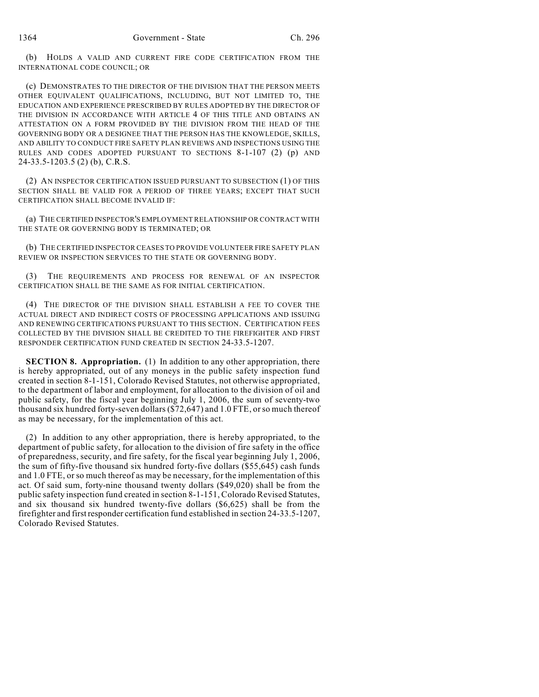(b) HOLDS A VALID AND CURRENT FIRE CODE CERTIFICATION FROM THE INTERNATIONAL CODE COUNCIL; OR

(c) DEMONSTRATES TO THE DIRECTOR OF THE DIVISION THAT THE PERSON MEETS OTHER EQUIVALENT QUALIFICATIONS, INCLUDING, BUT NOT LIMITED TO, THE EDUCATION AND EXPERIENCE PRESCRIBED BY RULES ADOPTED BY THE DIRECTOR OF THE DIVISION IN ACCORDANCE WITH ARTICLE 4 OF THIS TITLE AND OBTAINS AN ATTESTATION ON A FORM PROVIDED BY THE DIVISION FROM THE HEAD OF THE GOVERNING BODY OR A DESIGNEE THAT THE PERSON HAS THE KNOWLEDGE, SKILLS, AND ABILITY TO CONDUCT FIRE SAFETY PLAN REVIEWS AND INSPECTIONS USING THE RULES AND CODES ADOPTED PURSUANT TO SECTIONS 8-1-107 (2) (p) AND 24-33.5-1203.5 (2) (b), C.R.S.

(2) AN INSPECTOR CERTIFICATION ISSUED PURSUANT TO SUBSECTION (1) OF THIS SECTION SHALL BE VALID FOR A PERIOD OF THREE YEARS; EXCEPT THAT SUCH CERTIFICATION SHALL BECOME INVALID IF:

(a) THE CERTIFIED INSPECTOR'S EMPLOYMENT RELATIONSHIP OR CONTRACT WITH THE STATE OR GOVERNING BODY IS TERMINATED; OR

(b) THE CERTIFIED INSPECTOR CEASES TO PROVIDE VOLUNTEER FIRE SAFETY PLAN REVIEW OR INSPECTION SERVICES TO THE STATE OR GOVERNING BODY.

THE REQUIREMENTS AND PROCESS FOR RENEWAL OF AN INSPECTOR CERTIFICATION SHALL BE THE SAME AS FOR INITIAL CERTIFICATION.

(4) THE DIRECTOR OF THE DIVISION SHALL ESTABLISH A FEE TO COVER THE ACTUAL DIRECT AND INDIRECT COSTS OF PROCESSING APPLICATIONS AND ISSUING AND RENEWING CERTIFICATIONS PURSUANT TO THIS SECTION. CERTIFICATION FEES COLLECTED BY THE DIVISION SHALL BE CREDITED TO THE FIREFIGHTER AND FIRST RESPONDER CERTIFICATION FUND CREATED IN SECTION 24-33.5-1207.

**SECTION 8. Appropriation.** (1) In addition to any other appropriation, there is hereby appropriated, out of any moneys in the public safety inspection fund created in section 8-1-151, Colorado Revised Statutes, not otherwise appropriated, to the department of labor and employment, for allocation to the division of oil and public safety, for the fiscal year beginning July 1, 2006, the sum of seventy-two thousand six hundred forty-seven dollars (\$72,647) and 1.0 FTE, orso much thereof as may be necessary, for the implementation of this act.

(2) In addition to any other appropriation, there is hereby appropriated, to the department of public safety, for allocation to the division of fire safety in the office of preparedness, security, and fire safety, for the fiscal year beginning July 1, 2006, the sum of fifty-five thousand six hundred forty-five dollars (\$55,645) cash funds and 1.0 FTE, or so much thereof as may be necessary, for the implementation of this act. Of said sum, forty-nine thousand twenty dollars (\$49,020) shall be from the public safety inspection fund created in section 8-1-151, Colorado Revised Statutes, and six thousand six hundred twenty-five dollars (\$6,625) shall be from the firefighter and first responder certification fund established in section 24-33.5-1207, Colorado Revised Statutes.